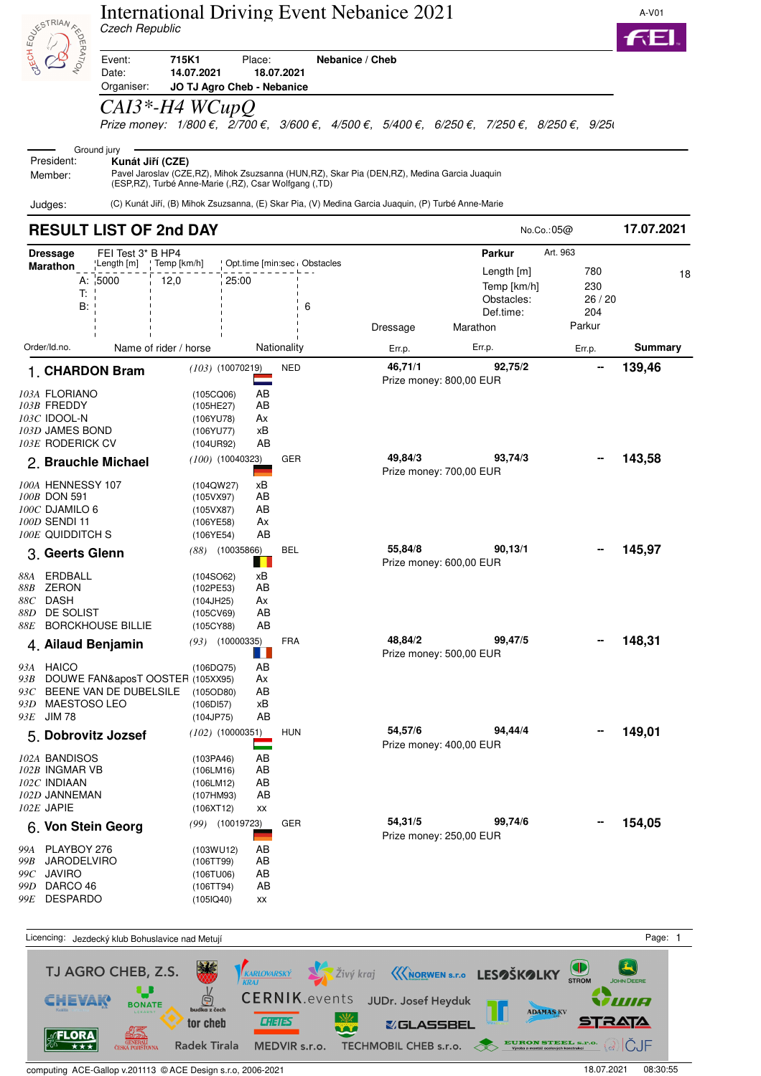|              | <b>ASK STRIAN FRAME</b>                                                                                                | <b>International Driving Event Nebanice 2021</b><br>Czech Republic<br>715K1<br>Place:<br>Nebanice / Cheb<br>Event:<br>Date:<br>14.07.2021<br>18.07.2021<br>Organiser:<br>JO TJ Agro Cheb - Nebanice |                                                                                                          |                                                                                                    |          |                                                                                                                                                                              |                                                    |            |
|--------------|------------------------------------------------------------------------------------------------------------------------|-----------------------------------------------------------------------------------------------------------------------------------------------------------------------------------------------------|----------------------------------------------------------------------------------------------------------|----------------------------------------------------------------------------------------------------|----------|------------------------------------------------------------------------------------------------------------------------------------------------------------------------------|----------------------------------------------------|------------|
|              |                                                                                                                        |                                                                                                                                                                                                     |                                                                                                          |                                                                                                    |          |                                                                                                                                                                              |                                                    |            |
|              |                                                                                                                        | $CAI3*-H4$ WCupQ                                                                                                                                                                                    |                                                                                                          |                                                                                                    |          | Prize money: $1/800 \epsilon$ , $2/700 \epsilon$ , $3/600 \epsilon$ , $4/500 \epsilon$ , $5/400 \epsilon$ , $6/250 \epsilon$ , $7/250 \epsilon$ , $8/250 \epsilon$ , $9/250$ |                                                    |            |
|              | President:<br>Member:                                                                                                  | Ground jury<br>Kunát Jiří (CZE)                                                                                                                                                                     | (ESP, RZ), Turbé Anne-Marie (, RZ), Csar Wolfgang (, TD)                                                 | Pavel Jaroslav (CZE,RZ), Mihok Zsuzsanna (HUN,RZ), Skar Pia (DEN,RZ), Medina Garcia Juaquin        |          |                                                                                                                                                                              |                                                    |            |
| Judges:      |                                                                                                                        |                                                                                                                                                                                                     |                                                                                                          | (C) Kunát Jiří, (B) Mihok Zsuzsanna, (E) Skar Pia, (V) Medina Garcia Juaquin, (P) Turbé Anne-Marie |          |                                                                                                                                                                              |                                                    | 17.07.2021 |
|              |                                                                                                                        | <b>RESULT LIST OF 2nd DAY</b>                                                                                                                                                                       |                                                                                                          |                                                                                                    |          | No.Co.:05@                                                                                                                                                                   |                                                    |            |
|              | <b>Dressage</b><br>Marathon<br>T:<br>B:                                                                                | FEI Test 3* B HP4<br>ˈLength [m]<br>Temp [km/h]<br>A: 5000<br>12,0                                                                                                                                  | 25:00                                                                                                    | Opt.time [min:sec Obstacles<br>6                                                                   | Dressage | <b>Parkur</b><br>Length $[m]$<br>Temp [km/h]<br>Obstacles:<br>Def.time:<br>Marathon                                                                                          | Art. 963<br>780<br>230<br>26 / 20<br>204<br>Parkur | 18         |
| Order/Id.no. |                                                                                                                        | Name of rider / horse                                                                                                                                                                               |                                                                                                          | Nationality                                                                                        | Err.p.   | Err.p.                                                                                                                                                                       | Err.p.                                             | Summary    |
|              |                                                                                                                        | 1. CHARDON Bram                                                                                                                                                                                     | $(103)$ $(10070219)$                                                                                     | <b>NED</b>                                                                                         | 46,71/1  | 92,75/2<br>Prize money: 800,00 EUR                                                                                                                                           |                                                    | 139,46     |
|              | <i>103A</i> FLORIANO<br><i>103B</i> FREDDY<br>103C IDOOL-N<br>103D JAMES BOND<br>103E RODERICK CV<br>100A HENNESSY 107 | 2. Brauchle Michael                                                                                                                                                                                 | (105CQ06)<br>(105HE27)<br>(106YU78)<br>(106YU77)<br>(104UR92)<br>$(100)$ $(10040323)$<br>хB<br>(104QW27) | AB<br>AB<br>Ax<br>хB<br>AB<br>GER                                                                  | 49,84/3  | 93,74/3<br>Prize money: 700,00 EUR                                                                                                                                           |                                                    | 143,58     |
|              | 100B DON 591<br>100C DJAMILO 6<br>100D SENDI 11<br><b>100E QUIDDITCH S</b><br>3. Geerts Glenn                          |                                                                                                                                                                                                     | (105VX97)<br>(105VX87)<br>(106YE58)<br>(106YE54)<br>$(88)$ $(10035866)$                                  | AB<br>AB<br>Ax<br>AB<br><b>BEL</b>                                                                 | 55,84/8  | 90,13/1<br>Prize money: 600,00 EUR                                                                                                                                           |                                                    | 145,97     |
| 88C DASH     | 88A ERDBALL<br>88B ZERON<br>88D DE SOLIST                                                                              | 88E BORCKHOUSE BILLIE                                                                                                                                                                               | (104SO62)<br>xВ<br>(102PE53)<br>(104JH25)<br>(105CV69)<br>(105CY88)                                      | AВ<br>Аx<br>AB<br>AB<br><b>FRA</b>                                                                 | 48,84/2  | 99,47/5                                                                                                                                                                      |                                                    | 148,31     |
|              | <i>93A</i> HAICO<br>93D MAESTOSO LEO<br>93E JIM 78                                                                     | 4. Ailaud Benjamin<br>93B DOUWE FAN&aposT OOSTER (105XX95)<br>$93C$ BEENE VAN DE DUBELSILE                                                                                                          | <i>(93)</i> (10000335)<br>H<br>(106DQ75)<br>(105OD80)<br>(106D157)<br>(104JP75)                          | AB<br>Аx<br>AВ<br>xВ<br>AB                                                                         |          | Prize money: 500,00 EUR                                                                                                                                                      |                                                    |            |
| $102E$ JAPIE | 102A BANDISOS<br>102B INGMAR VB<br>102 $\emph{c}$ Indiaan<br>102D JANNEMAN                                             | 5. Dobrovitz Jozsef                                                                                                                                                                                 | $(102)$ (10000351)<br>(103PA46)<br>(106LM16)<br>(106LM12)<br>(107HM93)<br>(106XT12)<br>ХX                | <b>HUN</b><br>Ξ<br>AB<br>AВ<br>AB<br>AB                                                            | 54,57/6  | 94,44/4<br>Prize money: 400,00 EUR                                                                                                                                           |                                                    | 149,01     |
|              | 99A PLAYBOY 276<br>99B JARODELVIRO<br>99 $C$ JAVIRO<br>99D DARCO 46                                                    | 6. Von Stein Georg                                                                                                                                                                                  | (99) (10019723)<br>(103WU12)<br>(106TT99)<br>(106TU06)<br>(106TT94)                                      | GER<br>AB<br>AВ<br>AB<br>AB                                                                        | 54,31/5  | 99,74/6<br>Prize money: 250,00 EUR                                                                                                                                           |                                                    | 154,05     |

Licencing: Jezdecký klub Bohuslavice nad Metují **Page: 1** VKARLOVARSKÝ VÝŽivý kraj «KNORWEN s.r.o LESOŠKOLKY STROM TJ AGRO CHEB, Z.S. 美食 OHN DEERE  $\bullet$ CERNIK.events JUDr. Josef Heyduk  $\frac{1}{2}$ CHEVAK WIA **BONATE** ka z čech ADAMAS KV **W CHETES** STRATA tor cheb **&GLASSBEL** aar.  $\frac{1}{200}$  FLORA 45 Radek Tirala MEDVIR s.r.o. TECHMOBIL CHEB s.r.o. <del>(Alexan Steel s.r.o.</del> and a structured state of a structured state of a str. o. GENERALI<br>ČESKÁ POJIŠŤOVNA computing ACE-Gallop v.201113 © ACE Design s.r.o, 2006-2021 18.07.2021 18.07.2021 18.07.2021 08:30:55

*99E* DESPARDO (105IQ40) xx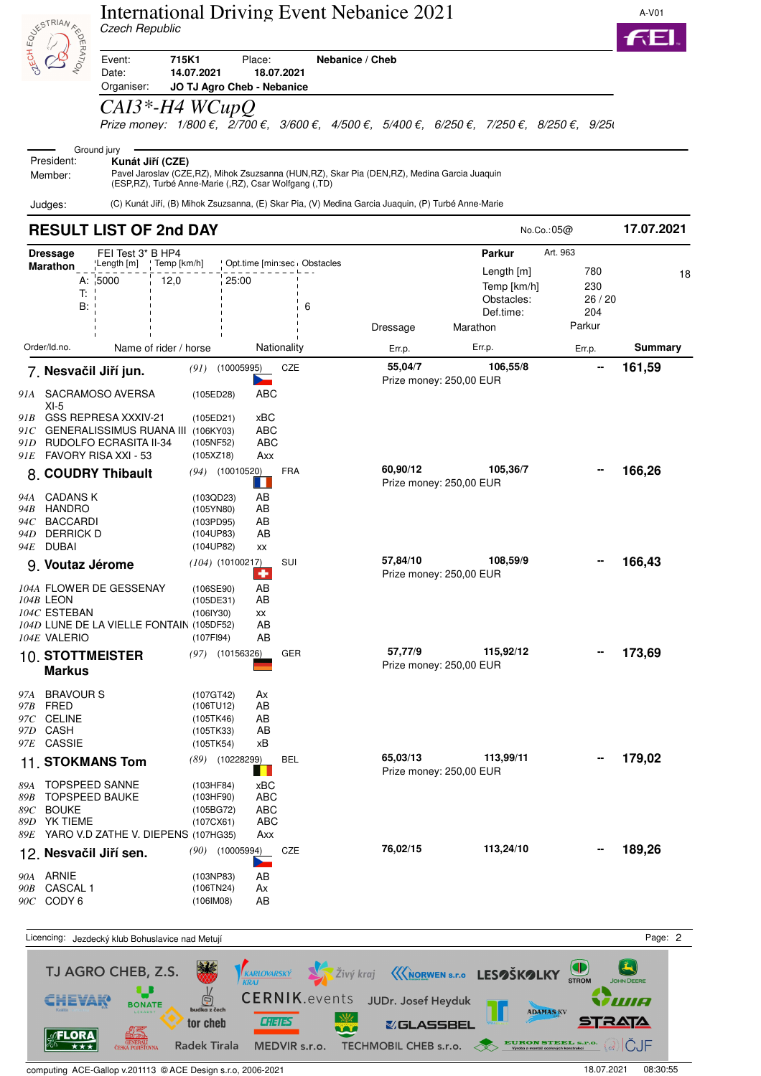|                                                                                      |                                                                                                                                                                           | <b>International Driving Event Nebanice 2021</b><br>Czech Republic                                         |                                                             |                                                                                                                                                                                       |                                                                    |                                        |            |  |
|--------------------------------------------------------------------------------------|---------------------------------------------------------------------------------------------------------------------------------------------------------------------------|------------------------------------------------------------------------------------------------------------|-------------------------------------------------------------|---------------------------------------------------------------------------------------------------------------------------------------------------------------------------------------|--------------------------------------------------------------------|----------------------------------------|------------|--|
| <b>BUSICAL ASSESSIBLE</b>                                                            | Event:<br>Date:                                                                                                                                                           | 715K1<br>Place:<br>Nebanice / Cheb<br>14.07.2021<br>18.07.2021<br>Organiser:<br>JO TJ Agro Cheb - Nebanice |                                                             |                                                                                                                                                                                       |                                                                    |                                        |            |  |
|                                                                                      | $CAI3*-H4$ WCupQ                                                                                                                                                          |                                                                                                            |                                                             | Prize money: $1/800 \epsilon$ , $2/700 \epsilon$ , $3/600 \epsilon$ , $4/500 \epsilon$ , $5/400 \epsilon$ , $6/250 \epsilon$ , $7/250 \epsilon$ , $8/250 \epsilon$ , $9/250 \epsilon$ |                                                                    |                                        |            |  |
| President:<br>Member:                                                                | Ground jury<br>Kunát Jiří (CZE)                                                                                                                                           |                                                                                                            | (ESP, RZ), Turbé Anne-Marie (, RZ), Csar Wolfgang (, TD)    | Pavel Jaroslav (CZE,RZ), Mihok Zsuzsanna (HUN,RZ), Skar Pia (DEN,RZ), Medina Garcia Juaquin                                                                                           |                                                                    |                                        |            |  |
| Judges:                                                                              | <b>RESULT LIST OF 2nd DAY</b>                                                                                                                                             |                                                                                                            |                                                             | (C) Kunát Jiří, (B) Mihok Zsuzsanna, (E) Skar Pia, (V) Medina Garcia Juaquin, (P) Turbé Anne-Marie                                                                                    | No.Co.: 05@                                                        |                                        | 17.07.2021 |  |
| <b>Dressage</b>                                                                      | FEI Test 3* B HP4                                                                                                                                                         |                                                                                                            |                                                             |                                                                                                                                                                                       | <b>Parkur</b><br>Art. 963                                          |                                        |            |  |
| Marathon                                                                             | ˈLength [m]<br>Temp [km/h]<br>A: 5000<br>12,0<br>T:<br>B:                                                                                                                 | 25:00                                                                                                      | Opt.time [min:sec   Obstacles<br>6                          | Dressage                                                                                                                                                                              | Length $[m]$<br>Temp [km/h]<br>Obstacles:<br>Def.time:<br>Marathon | 780<br>230<br>26 / 20<br>204<br>Parkur | 18         |  |
| Order/Id.no.                                                                         | Name of rider / horse                                                                                                                                                     |                                                                                                            | Nationality                                                 | Err.p.                                                                                                                                                                                | Err.p.                                                             | Err.p.                                 | Summary    |  |
|                                                                                      | 7. Nesvačil Jiří jun.                                                                                                                                                     | (10005995)<br>(91)                                                                                         | <b>CZE</b>                                                  | 55,04/7<br>Prize money: 250,00 EUR                                                                                                                                                    | 106,55/8                                                           |                                        | 161,59     |  |
| $XI-5$<br>94A CADANS K                                                               | 91A SACRAMOSO AVERSA<br>91B GSS REPRESA XXXIV-21<br>$\emph{91C}$ GENERALISSIMUS RUANA III<br>91D RUDOLFO ECRASITA II-34<br>91E FAVORY RISA XXI - 53<br>8. COUDRY Thibault | (105ED28)<br>(105ED21)<br>(106KY03)<br>(105NF52)<br>(105XZ18)<br>$(94)$ (10010520)<br>(103QD23)            | ABC<br>xBC<br>ABC<br>ABC<br>Axx<br><b>FRA</b><br>H.<br>AB   | 60,90/12<br>Prize money: 250,00 EUR                                                                                                                                                   | 105,36/7                                                           |                                        | 166,26     |  |
| <i>94B</i> HANDRO<br>BACCARDI<br>94 C<br><b>DERRICK D</b><br>94D -<br>DUBAI<br>94E - |                                                                                                                                                                           | (105YN80)<br>(103PD95)<br>(104UP83)<br>(104UP82)                                                           | AB<br>AB<br>AB<br>XX                                        | 57,84/10                                                                                                                                                                              | 108,59/9                                                           |                                        | 166,43     |  |
| 104B LEON<br>$104C$ ESTEBAN<br>104E VALERIO                                          | 9. Voutaz Jérome<br>104A FLOWER DE GESSENAY<br>104D LUNE DE LA VIELLE FONTAIN (105DF52)                                                                                   | $(104)$ (10100217)<br>(106SE90)<br>(105DE31)<br>(1061Y30)<br>(107FI94)                                     | SUI<br>$\left  \cdot \right $<br>AВ<br>AB<br>XX<br>AB<br>AB | Prize money: 250,00 EUR                                                                                                                                                               |                                                                    |                                        |            |  |
| <b>Markus</b>                                                                        | <b>10. STOTTMEISTER</b>                                                                                                                                                   | $(97)$ $(10156326)$                                                                                        | GER                                                         | 57,77/9<br>Prize money: 250,00 EUR                                                                                                                                                    | 115,92/12                                                          |                                        | 173,69     |  |
| 97A BRAVOUR S<br><i>97B</i> FRED<br>97C CELINE<br>97D CASH<br>97E CASSIE             |                                                                                                                                                                           | (107GT42)<br>(106TU12)<br>(105TK46)<br>(105TK33)<br>(105TK54)                                              | Аx<br>AB<br>AB<br>AB<br>хB                                  |                                                                                                                                                                                       |                                                                    |                                        |            |  |
|                                                                                      | 11. STOKMANS Tom                                                                                                                                                          | $(89)$ $(10228299)$                                                                                        | <b>BEL</b>                                                  | 65,03/13<br>Prize money: 250,00 EUR                                                                                                                                                   | 113,99/11                                                          |                                        | 179,02     |  |
| 89C BOUKE<br>89D YK TIEME                                                            | 89A TOPSPEED SANNE<br>89B TOPSPEED BAUKE<br>89E YARO V.D ZATHE V. DIEPENS (107HG35)                                                                                       | (103HF84)<br>(103HF90)<br>(105BG72)<br>(107CX61)                                                           | хBС<br>ABC<br>ABC<br>ABC<br>Axx                             |                                                                                                                                                                                       |                                                                    |                                        |            |  |
|                                                                                      | 12. Nesvačil Jiří sen.                                                                                                                                                    | $(90)$ $(10005994)$                                                                                        | CZE<br>⋗                                                    | 76,02/15                                                                                                                                                                              | 113,24/10                                                          |                                        | 189,26     |  |
| 90A ARNIE<br><i>90B</i> CASCAL 1<br>90C CODY 6                                       |                                                                                                                                                                           | (103NP83)<br>(106TN24)<br>(106IM08)                                                                        | AB<br>Аx<br>AB                                              |                                                                                                                                                                                       |                                                                    |                                        |            |  |

Licencing: Jezdecký klub Bohuslavice nad Metují **Page: 2** Page: 2  $\sqrt{\frac{K_{KRRLOVARSKY}}{KRAU}}$   $\frac{1}{2}$ Živý kraj  $\frac{1}{2}$ Knorwen s.r.o **LESOŠKOLKY**  $\left( \frac{1}{\sqrt{2}}\right)$ TJ AGRO CHEB, Z.S. 美食 **JOHN DEERE U** CERNIK.events JUDr. Josef Heyduk  $\frac{1}{2}$ CHEVAK **TINA BONATE** ADAMAS KV ka z čech  $\mathbb{W}$ **STRATA CHEIES** tor cheb **&GLASSBEL**  $\begin{picture}(120,140)(-0.00,0.00) \put(0,0){\line(1,0){15}} \put(15,0){\line(1,0){15}} \put(15,0){\line(1,0){15}} \put(15,0){\line(1,0){15}} \put(15,0){\line(1,0){15}} \put(15,0){\line(1,0){15}} \put(15,0){\line(1,0){15}} \put(15,0){\line(1,0){15}} \put(15,0){\line(1,0){15}} \put(15,0){\line(1,0){15}} \put(15,0){\line(1,0){15$ **MAG ELORA** Radek Tirala MEDVIR s.r.o. TECHMOBIL CHEB s.r.o. <del>8 EURON STEEL S.r.o.</del> 8 CHE

computing ACE-Gallop v.201113 © ACE Design s.r.o, 2006-2021 18.07.2021 18.07.2021 18.07.2021 08:30:55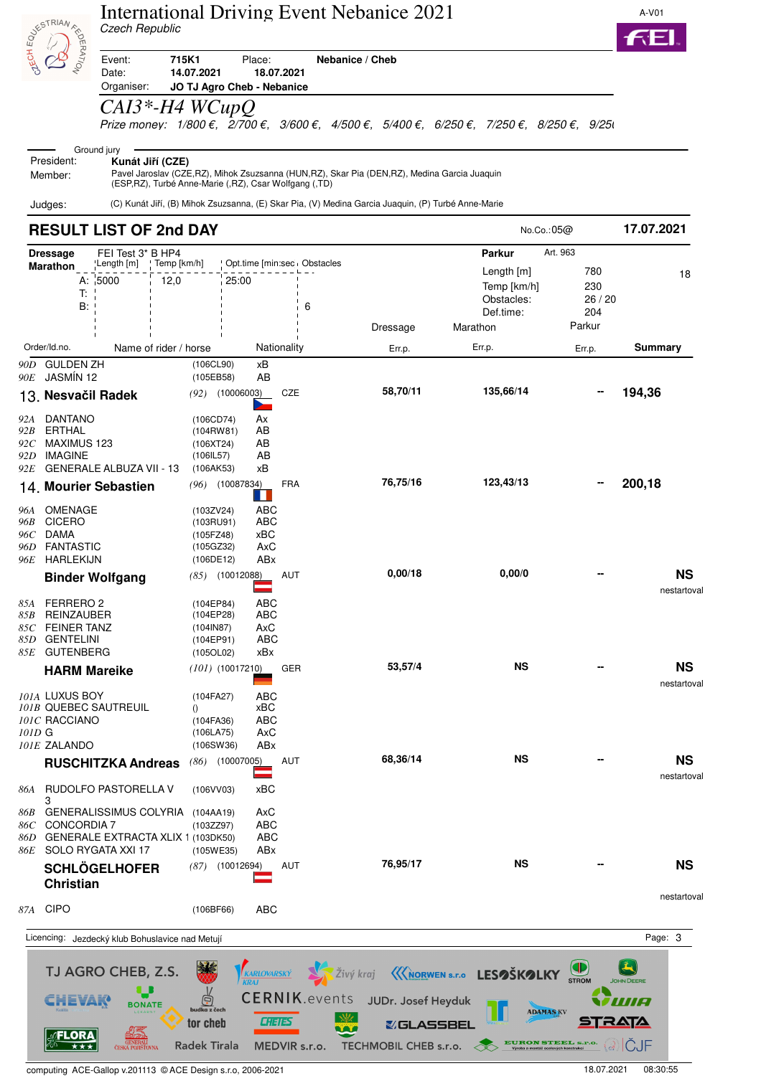

### International Driving Event Nebanice 2021 Czech Republic



Event: **715K1** Place: **Nebanice / Cheb** Date: **14.07.2021 18.07.2021** Organiser: **JO TJ Agro Cheb - Nebanice**

## *CAI3\*-H4 WCupQ*

Prize money:  $1/800 \epsilon$ ,  $\overline{2}/700 \epsilon$ ,  $3/600 \epsilon$ ,  $4/500 \epsilon$ ,  $5/400 \epsilon$ ,  $6/250 \epsilon$ ,  $7/250 \epsilon$ ,  $8/250 \epsilon$ ,  $9/250 \epsilon$ 

#### Ground jury President: **Kunát Jiří (CZE)**

Pavel Jaroslav (CZE,RZ), Mihok Zsuzsanna (HUN,RZ), Skar Pia (DEN,RZ), Medina Garcia Juaquin (ESP,RZ), Turbé Anne-Marie (,RZ), Csar Wolfgang (,TD) Member:

Judges: (C) Kunát Jiří, (B) Mihok Zsuzsanna, (E) Skar Pia, (V) Medina Garcia Juaquin, (P) Turbé Anne-Marie

### **RESULT LIST OF 2nd DAY 17.07.2021 Dressage** FEI Test 3\* B HP4 **Parkur** Art. 963<br>**Marathon**  $\begin{bmatrix}$  Length [m]  $\end{bmatrix}$  **Parkur** Parkur Parkur Art. 963 **Marathon** Length [m] Temp [km/h] Opt.time [min:sec Obstacles Length [m] 780 18<br>
A:  $\frac{1}{15000}$  12,0 25:00 125:00 Temp [km/h] 230<br>
T:  $\frac{1}{15000}$  12,0 25:00 1<br>
B:  $\frac{1}{15000}$  18<br>
B:  $\frac{1}{15000}$  18 Dressage Marathon Parkur Order/Id.no. Name of rider / horse Nationality Err.p. Err.p. Err.p. **Summary** *90D* GULDEN ZH (106CL90) xB *90E* JASMÍN 12 (105EB58) AB  **58,70/11 135,66/14 -- 194,36** 13. **Nesvačil Radek** *(92)* (10006003) CZE *92A* DANTANO (106CD74) Ax  $(104$ RW81) *92C* MAXIMUS 123 (106XT24) AB **IMAGINE** *92E* GENERALE ALBUZA VII - 13 (106AK53) xB  **76,75/16 123,43/13 -- 200,18** 14. **Mourier Sebastien** *(96)* (10087834) FRA *96A* OMENAGE (103ZV24) ABC *96B* CICERO (103RU91) ABC *96C* DAMA (105FZ48) xBC *96D* FANTASTIC (105GZ32) AxC *96E* HARLEKIJN (106DE12) ABx **Binder Wolfgang** *(85)* (10012088) AUT **0,00/18 0,00/0 -- NS** nestartoval *85A* FERRERO 2 (104EP84) ABC 85B REINZAUBER (104EP28) *85C* FEINER TANZ (104IN87) AxC 85D GENTELINI *85E* GUTENBERG (105OL02) xBx **HARM Mareike** *(101)* (10017210) GER **53,57/4 NS -- NS** nestartoval *101A* LUXUS BOY (104FA27) ABC  $101B$  QUEBEC SAUTREUIL  $\overrightarrow{0}$ *101C* RACCIANO (104FA36) ABC<br> *101D* G (106LA75) AxC *101D* G (106LA75) *101E* ZALANDO (106SW36) ABx **RUSCHITZKA Andreas** *(86)* (10007005) AUT **68,36/14 NS -- NS** nestartoval *86A* RUDOLFO PASTORELLA V (106VV03) xBC 3 *86B* GENERALISSIMUS COLYRIA (104AA19) AxC *86C* CONCORDIA 7 (103ZZ97) ABC 86D GENERALE EXTRACTA XLIX 1 (103DK50) ABC *86E* SOLO RYGATA XXI 17 (105WE35) ABx **SCHLÖGELHOFER 76,95/17 NS -- NS** *(87)* (10012694) **Christian** nestartoval *87A* CIPO (106BF66) ABC Licencing: Jezdecký klub Bohuslavice nad Metují **Page: 3** and the state of the state of the state of the state of the state of the state of the state of the state of the state of the state of the state of the state of the TJ AGRO CHEB, Z.S. Živý kraj KARLOVARSKÝ **KIORWEN S.r.o** LESOŠKOLKY STROM **CERNIK.events** Ġ HEVAK JUDr. Josef Heyduk 70 **BONATE ADAMAS KV CHEIES** tor cheb **&GLASSBEL**

computing ACE-Gallop v.201113 © ACE Design s.r.o, 2006-2021 18.07.2021 08:30:55

GENERALI<br>ČESKÁ POJIŠŤOVNA

**Radek Tirala** 

MEDVIR s.r.o.

TECHMOBIL CHEB s.r.o.

**FLORA** 

 $\overline{t}$ 

(ୖ ICJF

**EURON STEEL S.P**<br>Výroba a montáž ocelových konstrukcí